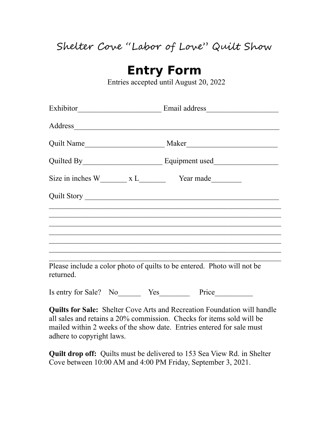## Shelter Cove "Labor of Love" Quilt Show

## **Entry Form**

Entries accepted until August 20, 2022

| Address                                                                              |                                                                                  |
|--------------------------------------------------------------------------------------|----------------------------------------------------------------------------------|
|                                                                                      |                                                                                  |
|                                                                                      |                                                                                  |
|                                                                                      |                                                                                  |
|                                                                                      |                                                                                  |
|                                                                                      | ,我们也不能在这里的时候,我们也不能在这里的时候,我们也不能在这里的时候,我们也不能会不能会不能会不能会不能会不能会。""我们的人,我们也不能会不能会不能会不能 |
|                                                                                      |                                                                                  |
|                                                                                      |                                                                                  |
| Please include a color photo of quilts to be entered. Photo will not be<br>returned. |                                                                                  |
| Is entry for Sale? No Yes                                                            | Price                                                                            |

**Quilts for Sale:** Shelter Cove Arts and Recreation Foundation will handle all sales and retains a 20% commission. Checks for items sold will be mailed within 2 weeks of the show date. Entries entered for sale must adhere to copyright laws.

**Quilt drop off:** Quilts must be delivered to 153 Sea View Rd. in Shelter Cove between 10:00 AM and 4:00 PM Friday, September 3, 2021.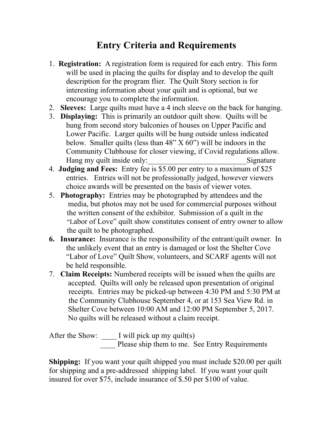## **Entry Criteria and Requirements**

- 1. **Registration:** A registration form is required for each entry. This form will be used in placing the quilts for display and to develop the quilt description for the program flier. The Quilt Story section is for interesting information about your quilt and is optional, but we encourage you to complete the information.
- 2. **Sleeves:** Large quilts must have a 4 inch sleeve on the back for hanging.
- 3. **Displaying:** This is primarily an outdoor quilt show. Quilts will be hung from second story balconies of houses on Upper Pacific and Lower Pacific. Larger quilts will be hung outside unless indicated below. Smaller quilts (less than  $48" X 60"$ ) will be indoors in the Community Clubhouse for closer viewing, if Covid regulations allow. Hang my quilt inside only: Signature
- 4. **Judging and Fees:** Entry fee is \$5.00 per entry to a maximum of \$25 entries. Entries will not be professionally judged, however viewers choice awards will be presented on the basis of viewer votes.
- 5. **Photography:** Entries may be photographed by attendees and the media, but photos may not be used for commercial purposes without the written consent of the exhibitor. Submission of a quilt in the "Labor of Love" quilt show constitutes consent of entry owner to allow the quilt to be photographed.
- **6. Insurance:** Insurance is the responsibility of the entrant/quilt owner. In the unlikely event that an entry is damaged or lost the Shelter Cove "Labor of Love" Quilt Show, volunteers, and SCARF agents will not be held responsible.
- 7. **Claim Receipts:** Numbered receipts will be issued when the quilts are accepted. Quilts will only be released upon presentation of original receipts. Entries may be picked-up between 4:30 PM and 5:30 PM at the Community Clubhouse September 4, or at 153 Sea View Rd. in Shelter Cove between 10:00 AM and 12:00 PM September 5, 2017. No quilts will be released without a claim receipt.

After the Show: \_\_\_\_\_ I will pick up my quilt(s) \_\_\_\_ Please ship them to me. See Entry Requirements

**Shipping:** If you want your quilt shipped you must include \$20.00 per quilt for shipping and a pre-addressed shipping label. If you want your quilt insured for over \$75, include insurance of \$.50 per \$100 of value.